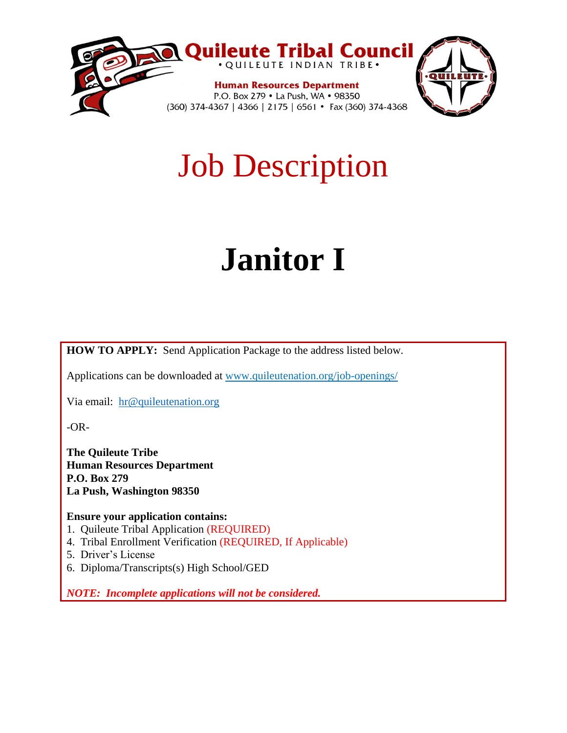

## Job Description

# **Janitor I**

**HOW TO APPLY:** Send Application Package to the address listed below.

Applications can be downloaded at www.quileutenation.org/job-openings/

Via email: [hr@quileutenation.org](mailto:hr@quileutenation.org)

-OR-

**The Quileute Tribe Human Resources Department P.O. Box 279 La Push, Washington 98350**

**Ensure your application contains:**

- 1. Quileute Tribal Application (REQUIRED)
- 4. Tribal Enrollment Verification (REQUIRED, If Applicable)
- 5. Driver's License
- 6. Diploma/Transcripts(s) High School/GED

*NOTE: Incomplete applications will not be considered.*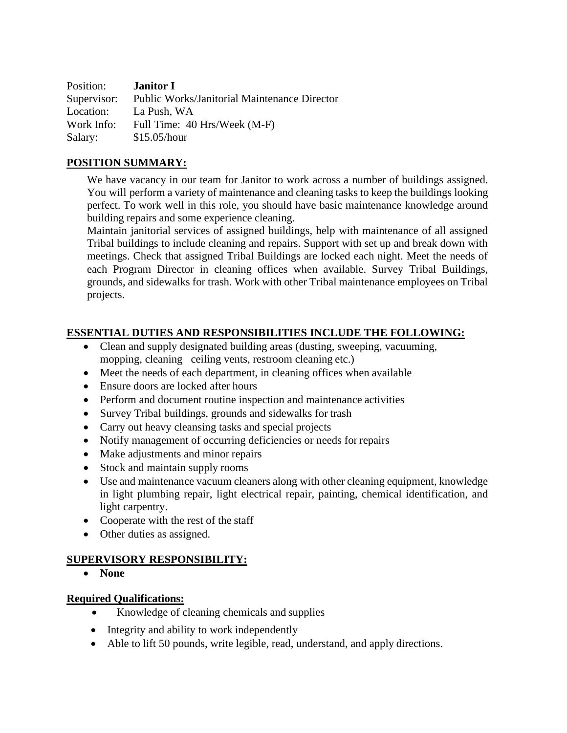| Position:   | <b>Janitor I</b>                                    |
|-------------|-----------------------------------------------------|
| Supervisor: | <b>Public Works/Janitorial Maintenance Director</b> |
| Location:   | La Push, WA                                         |
| Work Info:  | Full Time: 40 Hrs/Week (M-F)                        |
| Salary:     | \$15.05/hour                                        |

#### **POSITION SUMMARY:**

We have vacancy in our team for Janitor to work across a number of buildings assigned. You will perform a variety of maintenance and cleaning tasks to keep the buildings looking perfect. To work well in this role, you should have basic maintenance knowledge around building repairs and some experience cleaning.

Maintain janitorial services of assigned buildings, help with maintenance of all assigned Tribal buildings to include cleaning and repairs. Support with set up and break down with meetings. Check that assigned Tribal Buildings are locked each night. Meet the needs of each Program Director in cleaning offices when available. Survey Tribal Buildings, grounds, and sidewalks for trash. Work with other Tribal maintenance employees on Tribal projects.

#### **ESSENTIAL DUTIES AND RESPONSIBILITIES INCLUDE THE FOLLOWING:**

- Clean and supply designated building areas (dusting, sweeping, vacuuming, mopping, cleaning ceiling vents, restroom cleaning etc.)
- Meet the needs of each department, in cleaning offices when available
- Ensure doors are locked after hours
- Perform and document routine inspection and maintenance activities
- Survey Tribal buildings, grounds and sidewalks for trash
- Carry out heavy cleansing tasks and special projects
- Notify management of occurring deficiencies or needs for repairs
- Make adjustments and minor repairs
- Stock and maintain supply rooms
- Use and maintenance vacuum cleaners along with other cleaning equipment, knowledge in light plumbing repair, light electrical repair, painting, chemical identification, and light carpentry.
- Cooperate with the rest of the staff
- Other duties as assigned.

## **SUPERVISORY RESPONSIBILITY:**

• **None**

#### **Required Qualifications:**

- Knowledge of cleaning chemicals and supplies
- Integrity and ability to work independently
- Able to lift 50 pounds, write legible, read, understand, and apply directions.